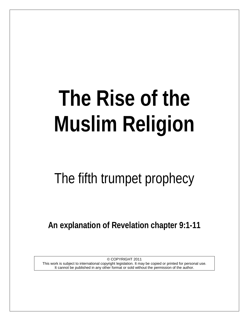# **The Rise of the Muslim Religion**

# The fifth trumpet prophecy

**An explanation of Revelation chapter 9:1-11**

© COPYRIGHT 2011 This work is subject to international copyright legislation. It may be copied or printed for personal use. It cannot be published in any other format or sold without the permission of the author.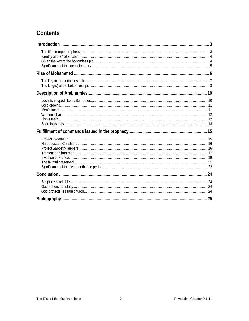# Contents

<span id="page-1-0"></span>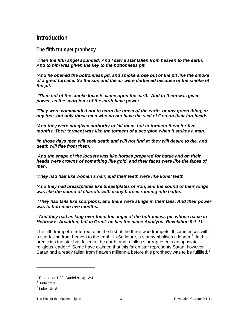#### **Introduction**

<span id="page-2-0"></span>**The fifth trumpet prophecy**

*1 Then the fifth angel sounded: And I saw a star fallen from heaven to the earth. And to him was given the key to the bottomless pit.* 

*2 And he opened the bottomless pit, and smoke arose out of the pit like the smoke of a great furnace. So the sun and the air were darkened because of the smoke of the pit.*

*3 Then out of the smoke locusts came upon the earth. And to them was given power, as the scorpions of the earth have power.*

*4 They were commanded not to harm the grass of the earth, or any green thing, or any tree, but only those men who do not have the seal of God on their foreheads.* 

*5 And they were not given authority to kill them, but to torment them for five months. Their torment was like the torment of a scorpion when it strikes a man.* 

*6 In those days men will seek death and will not find it; they will desire to die, and death will flee from them.*

*7 And the shape of the locusts was like horses prepared for battle and on their heads were crowns of something like gold, and their faces were like the faces of men.* 

*8 They had hair like women's hair, and their teeth were like lions' teeth.*

*9 And they had breastplates like breastplates of iron, and the sound of their wings was like the sound of chariots with many horses running into battle.*

*10They had tails like scorpions, and there were stings in their tails. And their power was to hurt men five months.* 

#### *11And they had as king over them the angel of the bottomless pit, whose name in Hebrew is Abaddon, but in Greek he has the name Apollyon. Revelation 9:1-11*

The fifth trumpet is referred to as the first of the three *woe* trumpets. It commences with a star falling from heaven to the earth. In Scripture, a star symbolises a leader.<sup>[1](#page-2-1)</sup> In this prediction the star has fallen to the earth, and a fallen star represents an apostate religious leader.<sup>[2](#page-2-2)</sup> Some have claimed that this fallen star represents Satan, however Satan had already fallen from heaven millennia before this prophecy was to be fulfilled.<sup>[3](#page-2-3)</sup>

<span id="page-2-1"></span> $<sup>1</sup>$  Revelation1:20: Daniel 8:10: 12:4.</sup>

<span id="page-2-2"></span> $<sup>2</sup>$  Jude 1:13.</sup>

<span id="page-2-3"></span> $^3$  Luke 10:18.

The Rise of the Muslim religion and the Muslim religion 3 and 2 Revelation Chapter 9:1-11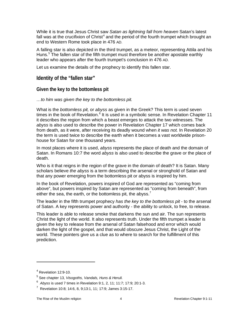While it is true that Jesus Christ saw *Satan as lightning fall from heaven* Satan's latest fall was at the crucifixion of Christ<sup>[4](#page-3-2)</sup> and the period of the fourth trumpet which brought an end to Western Rome took place in 476 AD.

A falling star is also depicted in the third trumpet, as a meteor, representing Attila and his Huns.<sup>[5](#page-3-3)</sup> The fallen star of the fifth trumpet must therefore be another apostate earthly leader who appears after the fourth trumpet's conclusion in 476 AD.

Let us examine the details of the prophecy to identify this fallen star.

<span id="page-3-0"></span>**Identity of the "fallen star"**

#### <span id="page-3-1"></span>**Given the key to the bottomless pit**

#### *…to him was given the key to the bottomless pit.*

What is the *bottomless pit,* or *abyss* as given in the Greek? This term is used seven times in the book of Revelation.<sup>[6](#page-3-4)</sup> It is used in a symbolic sense. In Revelation Chapter 11 it describes the region from which a beast emerges to attack the two witnesses. The *abyss* is also used to describe the power in Revelation Chapter 17 which comes back from death, as it were, after receiving its deadly wound when *it was not.* In Revelation 20 the term is used twice to describe the earth when it becomes a vast worldwide prisonhouse for Satan for one thousand years.

In most places where it is used, *abyss* represents the place of death and the domain of Satan. In Romans 10:7 the word *abyss* is also used to describe the grave or the place of death.

Who is it that reigns in the region of the grave in the domain of death? It is Satan. Many scholars believe *the abyss* is a term describing the arsenal or stronghold of Satan and that any power emerging from the bottomless pit or abyss is inspired by him.

In the book of Revelation, powers inspired of God are represented as "coming from above", but powers inspired by Satan are represented as "coming from beneath", from either the sea, the earth, or the bottomless pit, the abyss.<sup>[7](#page-3-5)</sup>

The leader in the fifth trumpet prophecy *has the key to the bottomless pit* - to the arsenal of Satan. A key represents power and authority - the ability to unlock, to free, to release.

This leader is able to release smoke that darkens the sun and air. The sun represents Christ the light of the world. It also represents truth. Under the fifth trumpet a leader is given the key to release from the arsenal of Satan falsehood and error which would darken the light of the gospel, and that would obscure Jesus Christ, the Light of the world. These pointers give us a clue as to where to search for the fulfillment of this prediction.

<span id="page-3-2"></span> $4$  Revelation 12:9-10.

<span id="page-3-3"></span><sup>5</sup> See chapter 13, *Visogoths, Vandals, Huns & Heruli.*

<span id="page-3-4"></span><sup>6</sup> *Abyss* is used 7 times in Revelation 9:1, 2, 11; 11:7; 17:9; 20:1-3.

<span id="page-3-5"></span><sup>&</sup>lt;sup>7</sup> Revelation 10:8; 14:6, 8, 9;13:1, 11; 17:9; James 3:15-17.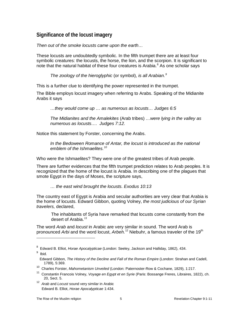#### <span id="page-4-0"></span>**Significance of the locust imagery**

*Then out of the smoke locusts came upon the earth…*

These locusts are undoubtedly symbolic. In the fifth trumpet there are at least four symbolic creatures: the locusts, the horse, the lion, and the scorpion. It is significant to note that the natural habitat of these four creatures is Arabia. [8](#page-4-1) As one scholar says

*The zoology of the hieroglyphic* (or symbol), *is all Arabian.[9](#page-4-2)*

This is a further clue to identifying the power represented in the trumpet.

The Bible employs locust imagery when referring to Arabs. Speaking of the Midianite Arabs it says

*…they would come up … as numerous as locusts… Judges 6:5* 

*The Midianites and the Amalekites* (Arab tribes) *…were lying in the valley as numerous as locusts…. Judges 7:12.*

Notice this statement by Forster, concerning the Arabs.

*In the Bedoween Romance of Antar, the locust is introduced as the national emblem of the Ishmaelites.[10](#page-4-3)*

Who were the Ishmaelites? They were one of the greatest tribes of Arab people.

There are further evidences that the fifth trumpet prediction relates to Arab peoples. It is recognized that the home of the locust is Arabia. In describing one of the plagues that smote Egypt in the days of Moses, the scripture says,

*… the east wind brought the locusts. Exodus 10:13*

The country east of Egypt is Arabia and secular authorities are very clear that Arabia is the home of locusts. Edward Gibbon, quoting Volney, *the most judicious of our Syrian travelers,* declared,

The inhabitants of Syria have remarked that locusts come constantly from the desert of Arabia.*[11](#page-4-4)*

The word *Arab* and *locust* in Arabic are very similar in sound. The word Arab is pronounced *Arbi* and the word locust, *Arbeh.*<sup>[12](#page-4-5)</sup> Niebuhr, a famous traveler of the 19<sup>th</sup>

<span id="page-4-5"></span>12 *Arab* and *Locust* sound very similar in Arabic Edward B. Elliot, *Horae Apocalypticae* 1:434.

<span id="page-4-2"></span><span id="page-4-1"></span><sup>8</sup> Edward B. Elliot, *Horae Apocalypticae* (London: Seeley, Jackson and Halliday, 1862), 434. <sup>9</sup> Ibid.

Edward Gibbon, *The History of the Decline and Fall of the Roman Empire* (London: Strahan and Cadell, 1789), 5:369.

<span id="page-4-3"></span><sup>10</sup> Charles Forster, *Mahometanism Unveiled* (London: Paternoster-Row & Cochane, 1829), 1:217.

<span id="page-4-4"></span><sup>11</sup> Constantin Francois Volney, *Voyage en Egypt et en Syrie* (Paris: Bossange Freres, Libraires, 1822), ch. 20, Sect. 5.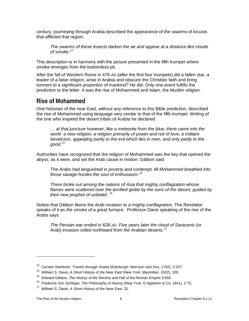century, journeying through Arabia described the appearance of the swarms of locusts that afflicted that region.

*The swarms of these insects darken the air and appear at a distance like clouds of smoke.[13](#page-5-1)*

This description is in harmony with the picture presented in the fifth trumpet where smoke emerges from the bottomless pit.

After the fall of Western Rome in 476 AD (after the first four trumpets) did a fallen star, a leader of a false religion, arise in Arabia and obscure the Christian faith and bring torment to a significant proportion of mankind? He did. Only one event fulfills the prediction to the letter. It was the rise of Mohammed and Islam, the Muslim religion.

### <span id="page-5-0"></span>**Rise of Mohammed**

One historian of the near East, without any reference to this Bible prediction, described the rise of Mohammed using language very similar to that of the fifth trumpet. Writing of the one who inspired the desert tribes of Arabia he declared:

*… at that juncture however, like a meteorite from the blue, there came into the world a new religion, a religion primarily of power and not of love, a militant fanaticism, appealing partly to the evil which lies in men, and only partly to the good.[14](#page-5-2)*

Authorities have recognized that the religion of Mohammed was the key that opened the abyss, as it were, and set the Arab cause in motion. Gibbon said

*The Arabs had languished in poverty and contempt, till Mohammed breathed into those savage hordes the soul of enthusiasm.[15](#page-5-3)*

*There broke out among the nations of Asia that mighty conflagration whose flames were scattered over the terrified globe by the sons of the desert, guided by their new prophet of unbelief.* [16](#page-5-4)

Notice that Gibbon likens the Arab invasion to *a mighty conflagration*. The Revelator speaks of it as *the smoke of a great furnace*. Professor Davis speaking of the rise of the Arabs says

*The Persian war ended in 628 AD. Five years later the cloud of Saracenic* (or Arab) *invasion rolled northward from the Arabian deserts.[17](#page-5-5)*

<sup>13</sup> Carsten Niehbuhr, *Travels through Arabia* (Edinburgh: Morrison and Son, 1792), 2:337.

<span id="page-5-2"></span><span id="page-5-1"></span><sup>14</sup> William S. Davis, *A Short History of the Near East* (New York: Macmillan, 1922), 100.

<sup>15</sup> Edward Gibbon, *The History of the Decline and Fall of the Roman Empire* 3:550.

<span id="page-5-4"></span><span id="page-5-3"></span><sup>16</sup> Frederick Von Schlegel, *The Philosophy of History* (New York: D.Appleton & Co, 1841), 2:75.

<span id="page-5-5"></span><sup>17</sup> William S. Davis, *A Short History of the Near East*, 32.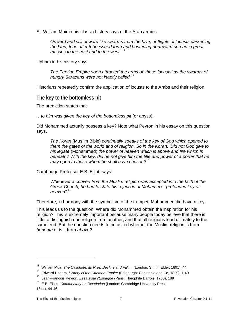Sir William Muir in his classic history says of the Arab armies:

*Onward and still onward like swarms from the hive, or flights of locusts darkening the land, tribe after tribe issued forth and hastening northward spread in great masses to the east and to the west.* [18](#page-6-1)

Upham in his history says

*The Persian Empire soon attracted the arms of 'these locusts' as the swarms of hungry Saracens were not inaptly called.*[19](#page-6-2)

Historians repeatedly confirm the application of locusts to the Arabs and their religion.

#### <span id="page-6-0"></span>**The key to the bottomless pit**

The prediction states that

*…to him was given the key of the bottomless pit* (or abyss)*.*

Did Mohammed actually possess a key? Note what Peyron in his essay on this question says.

*The Koran* (Muslim Bible) *continually speaks of the key of God which opened to them the gates of the world and of religion. So in the Koran; 'Did not God give to his legate* (Mohammed) *the power of heaven which is above and fire which is beneath? With the key, did he not give him the title and power of a porter that he may open to those whom he shall have chosen?* [20](#page-6-3)

Cambridge Professor E.B. Elliott says:

*Whenever a convert from the Muslim religion was accepted into the faith of the Greek Church, he had to state his rejection of Mohamet's "pretended key of heaven".*[21](#page-6-4)

Therefore, in harmony with the symbolism of the trumpet, Mohammed did have a key.

This leads us to the question: Where did Mohammed obtain the inspiration for his religion? This is extremely important because many people today believe that there is little to distinguish one religion from another, and that all religions lead ultimately to the same end. But the question needs to be asked whether the Muslim religion is from *beneath* or is it from *above*?

<span id="page-6-1"></span><sup>&</sup>lt;sup>18</sup> William Muir, *The Caliphate, its Rise, Decline and Fall....* (London: Smith, Elder, 1891), 44

<span id="page-6-2"></span><sup>19</sup> Edward Upham, *History of the Ottoman Empire* (Edinburgh: Constable and Co, 1829), 1:40

<span id="page-6-3"></span><sup>20</sup> Jean-François Peyron, *Essais sur l'Espagne* (Paris: Theophile Barrois, 1780), 189

<span id="page-6-4"></span><sup>21</sup> E.B. Elliott, *Commentary on Revelation* (London: Cambridge University Press 1844), 44-46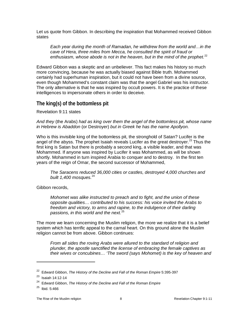Let us quote from Gibbon. In describing the inspiration that Mohammed received Gibbon states

*Each year during the month of Ramadan, he withdrew from the world and…in the cave of Hera, three miles from Mecca, he consulted the spirit of fraud or*  enthusiasm, whose abode is not in the heaven, but in the mind of the prophet.<sup>[22](#page-7-1)</sup>

Edward Gibbon was a skeptic and an unbeliever. This fact makes his history so much more convincing, because he was actually biased against Bible truth. Mohammed certainly had superhuman inspiration, but it could not have been from a divine source, even though Mohammed's constant claim was that the angel Gabriel was his instructor. The only alternative is that he was inspired by occult powers. It is the practice of these intelligences to impersonate others in order to deceive.

#### <span id="page-7-0"></span>**The king(s) of the bottomless pit**

Revelation 9:11 states

*And they* (the Arabs) *had as king over them the angel of the bottomless pit, whose name in Hebrew is Abaddon* (or Destroyer) *but in Greek he has the name Apollyon.*

Who is this invisible king of the bottomless pit, the stronghold of Satan? Lucifer is the angel of the abyss. The prophet Isaiah reveals Lucifer as the great destroyer.<sup>[23](#page-7-2)</sup> Thus the first king is Satan but there is probably a second king, a visible leader, and that was Mohammed. If anyone was inspired by Lucifer it was Mohammed, as will be shown shortly. Mohammed in turn inspired Arabia to conquer and to destroy. In the first ten years of the reign of Omar, the second successor of Mohammed,

*The Saracens reduced 36,000 cities or castles, destroyed 4,000 churches and built 1,400 mosques.*<sup>[24](#page-7-3)</sup>

Gibbon records,

*Mohomet was alike instructed to preach and to fight, and the union of these opposite qualities… contributed to his success: his voice invited the Arabs to freedom and victory, to arms and rapine, to the indulgence of their darling passions, in this world and the next.*[25](#page-7-4)

The more we learn concerning the Muslim religion, the more we realize that it is a belief system which has terrific appeal to the carnal heart. On this ground alone the Muslim religion cannot be from above. Gibbon continues:

*From all sides the roving Arabs were allured to the standard of religion and plunder, the apostle sanctified the license of embracing the female captives as their wives or concubines… 'The sword (says Mohomet) is the key of heaven and* 

<span id="page-7-1"></span><sup>&</sup>lt;sup>22</sup> Edward Gibbon, *The History of the Decline and Fall of the Roman Empire* 5:395-397

<span id="page-7-2"></span><sup>23</sup> Isaiah 14:12-14

<span id="page-7-3"></span><sup>24</sup> Edward Gibbon, *The History of the Decline and Fall of the Roman Empire* 

<span id="page-7-4"></span> $25$  Ibid. 5:466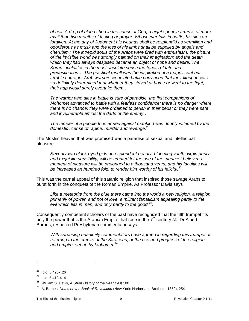*of hell. A drop of blood shed in the cause of God, a night spent in arms is of more avail than two months of fasting or prayer. Whosoever falls in battle, his sins are*  forgiven. At the day of Judgment his wounds shall be resplendid as vermillion and *odoriferous as musk and the loss of his limbs shall be supplied by angels and cherubim.' The intrepid souls of the Arabs were fired with enthusiasm: the picture of the invisible world was strongly painted on their imagination; and the death which they had always despised became an object of hope and desire. The Koran inculcates in the most absolute sense the tenets of fate and predestination… The practical result was the inspiration of a magnificent but terrible courage. Arab warriors went into battle convinced that their lifespan was so definitely determined that whether they stayed at home or went to the fight, their hap would surely overtake them…*

*The warrior who dies in battle is sure of paradise, the first companions of Mohomet advanced to battle with a fearless confidence; there is no danger where there is no chance: they were ordained to perish in their beds; or they were safe and invulnerable amidst the darts of the enemy…*

*The temper of a people thus armed against mankind was doubly inflamed by the domestic license of rapine, murder and revenge.*[26](#page-8-0)

The Muslim heaven that was promised was a paradise of sexual and intellectual pleasure.

*Seventy-two black-eyed girls of resplendent beauty, blooming youth, virgin purity, and exquisite sensibility, will be created for the use of the meanest believer; a moment of pleasure will be prolonged to a thousand years, and his faculties will be increased an hundred fold, to render him worthy of his felicity.*[27](#page-8-1)

This was the carnal appeal of this satanic religion that inspired those savage Arabs to burst forth in the conquest of the Roman Empire. As Professor Davis says

*Like a meteorite from the blue there came into the world a new religion, a religion primarily of power, and not of love, a militant fanaticism appealing partly to the evil which lies in men, and only partly to the good.*[28](#page-8-2)*.*

Consequently competent scholars of the past have recognized that the fifth trumpet fits only the power that is the Arabian Empire that rose in the  $7<sup>th</sup>$  century AD. Dr Albert Barnes, respected Presbyterian commentator says:

*With surprising unanimity commentators have agreed in regarding this trumpet as referring to the empire of the Saracens, or the rise and progress of the religion and empire, set up by Mohomet. [29](#page-8-3)*

<span id="page-8-0"></span><sup>26</sup> Ibid. 5:425-426

<span id="page-8-1"></span> $27$  Ibid. 5:413-414

<span id="page-8-2"></span><sup>28</sup> William S. Davis, *A Short History of the Near East* 100

<span id="page-8-3"></span><sup>29</sup> A. Barnes, *Notes on the Book of Revelation* (New York: Harber and Brothers, 1859), 254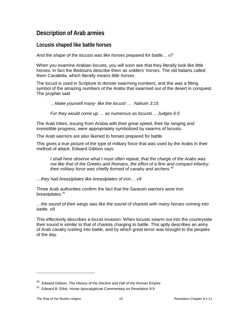## <span id="page-9-0"></span>**Description of Arab armies**

#### <span id="page-9-1"></span>**Locusts shaped like battle horses**

*And the shape of the locusts was like horses prepared for battle… v7*

When you examine Arabian locusts, you will soon see that they literally look like little horses. In fact the Bedouins describe them as *soldiers' horses*. The old Italians called them Cavaletta, which literally means *little horses*.

The locust is used in Scripture to denote swarming numbers, and this was a fitting symbol of the amazing numbers of the Arabs that swarmed out of the desert in conquest. The prophet said

*…Make yourself many- like the locust! … Nahum 3:15*

*For they would come up … as numerous as locusts… Judges 6:5*

The Arab tribes, issuing from Arabia with their great speed, their far ranging and irresistible progress, were appropriately symbolized by swarms of locusts.

The Arab warriors are also likened to horses prepared for battle.

This gives a true picture of the type of military force that was used by the Arabs in their method of attack. Edward Gibbon says

*I shall here observe what I must often repeat, that the charge of the Arabs was not like that of the Greeks and Romans, the effort of a firm and compact infantry: their military force was chiefly formed of cavalry and archers.*[30](#page-9-2)

*…they had breastplates like breastplates of iron… v9*

Three Arab authorities confirm the fact that the Saracen warriors wore iron breastplates.<sup>[31](#page-9-3)</sup>

*…the sound of their wings was like the sound of chariots with many horses running into battle. v9*

This effectively describes a locust invasion. When locusts swarm out into the countryside their sound is similar to that of chariots charging to battle. This aptly describes an army of Arab cavalry rushing into battle, and by which great terror was brought to the peoples of the day.

<sup>30</sup> Edward Gibbon, *The History of the Decline and Fall of the Roman Empire* 

<span id="page-9-3"></span><span id="page-9-2"></span><sup>31</sup> Edward B. Elliot, *Horae Apocalypticae* Commentary on Revelation 9:9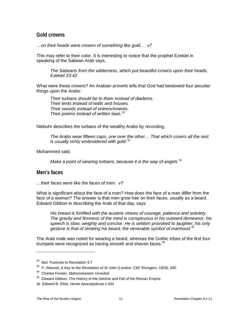#### <span id="page-10-0"></span>**Gold crowns**

*…on their heads were crowns of something like gold… v7*

This may refer to their color. It is interesting to notice that the prophet Ezekiel in speaking of the Sabean Arab says,

*The Sabeans from the wilderness, which put beautiful crowns upon their heads. Ezekiel 23:42*

What were these crowns? An Arabian proverb tells that God had bestowed four peculiar things upon the Arabs:

*Their turbans should be to them instead of diadems. Their tents instead of walls and houses. Their swords instead of entrenchments. Their poems instead of written laws.[32](#page-10-2)*

Niebuhr describes the turbans of the wealthy Arabs by recording,

*The Arabs wear fifteen caps, one over the other… That which covers all the rest is usually richly embroidered with gold.[33](#page-10-3)* 

Mohammed said,

*Make a point of wearing turbans, because it is the way of angels*  $34$ 

#### <span id="page-10-1"></span>**Men's faces**

 $\overline{a}$ 

*…their faces were like the faces of men. v7*

What is significant about the face of a man? How does the face of a man differ from the face of a woman? The answer is that men grow hair on their faces, usually as a beard. Edward Gibbon in describing the Arab of that day, says

*His breast is fortified with the austere virtues of courage, patience and sobriety. The gravity and firmness of the mind is conspicuous in his outward demeanor, his speech is slow, weighty and concise. He is seldom provoked to laughter; his only gesture is that of stroking his beard, the venerable symbol of manhood.*[35](#page-10-5)

The Arab male was noted for wearing a beard, whereas the Gothic tribes of the first four trumpets were recognized as having smooth and shaven faces. $36$ 

<span id="page-10-2"></span><sup>&</sup>lt;sup>32</sup> Ibid. Footnote to Revelation 9:7

<sup>33</sup> P. Allwood, *A Key to the Revelation of St John* (London: C&F Rivington, 1829), 340

<span id="page-10-4"></span><span id="page-10-3"></span><sup>34</sup> Charles Forster, *Mahometanism Unveiled* 

 $35$  Edward Gibbon, The History of the Decline and Fall of the Roman Empire

<span id="page-10-6"></span><span id="page-10-5"></span><sup>36</sup> Edward B. Elliot, *Horae Apocalypticae,*1:434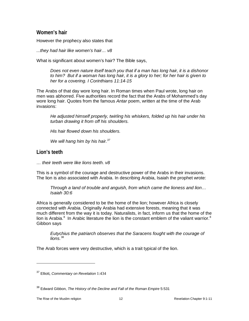#### <span id="page-11-0"></span>**Women's hair**

However the prophecy also states that

*...they had hair like women's hair… v8*

What is significant about women's hair? The Bible says,

*Does not even nature itself teach you that if a man has long hair, it is a dishonor to him? But if a woman has long hair, it is a glory to her; for her hair is given to her for a covering. I Corinthians 11:14-15*

The Arabs of that day wore long hair. In Roman times when Paul wrote, long hair on men was abhorred. Five authorities record the fact that the Arabs of Mohammed's day wore long hair. Quotes from the famous *Antar* poem, written at the time of the Arab invasions:

*He adjusted himself properly, twirling his whiskers, folded up his hair under his turban drawing it from off his shoulders.*

*His hair flowed down his shoulders.*

*We will hang him by his hair.[37](#page-11-2)*

#### <span id="page-11-1"></span>**Lion's teeth**

*… their teeth were like lions teeth. v8*

This is a symbol of the courage and destructive power of the Arabs in their invasions. The lion is also associated with Arabia. In describing Arabia, Isaiah the prophet wrote:

*Through a land of trouble and anguish, from which came the lioness and lion… Isaiah 30:6*

Africa is generally considered to be the home of the lion; however Africa is closely connected with Arabia. Originally Arabia had extensive forests, meaning that it was much different from the way it is today. Naturalists, in fact, inform us that the home of the lion is Arabia.<sup>[8](#page-11-4)</sup> In Arabic literature the lion is the constant emblem of the valiant warrior.<sup>8</sup> Gibbon says

*Eutychius the patriarch observes that the Saracens fought with the courage of lions.*[38](#page-11-5)

The Arab forces were very destructive, which is a trait typical of the lion.

<span id="page-11-3"></span><span id="page-11-2"></span><sup>37</sup> Elliott, *Commentary on Revelation* 1:434

<span id="page-11-5"></span><span id="page-11-4"></span><sup>&</sup>lt;sup>38</sup> Edward Gibbon, *The History of the Decline and Fall of the Roman Empire* 5:531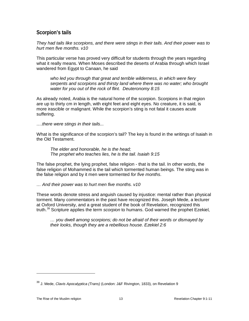#### <span id="page-12-0"></span>**Scorpion's tails**

*They had tails like scorpions, and there were stings in their tails. And their power was to hurt men five months. v10*

This particular verse has proved very difficult for students through the years regarding what it really means. When Moses described the deserts of Arabia through which Israel wandered from Egypt to Canaan, he said

*who led you through that great and terrible wilderness, in which were fiery serpents and scorpions and thirsty land where there was no water; who brought water for you out of the rock of flint. Deuteronomy 8:15* 

As already noted, Arabia is the natural home of the scorpion. Scorpions in that region are up to thirty cm in length, with eight feet and eight eyes. No creature, it is said, is more irascible or malignant. While the scorpion's sting is not fatal it causes acute suffering.

*….there were stings in their tails...*

What is the significance of the scorpion's tail? The key is found in the writings of Isaiah in the Old Testament.

*The elder and honorable, he is the head; The prophet who teaches lies, he is the tail. Isaiah 9:15*

The false prophet, the lying prophet, false religion - that is the tail. In other words, the false religion of Mohammed is the tail which tormented human beings. The sting was in the false religion and by it men were tormented *for five months*.

*… And their power was to hurt men five months. v10*

These words denote stress and anguish caused by injustice: mental rather than physical torment. Many commentators in the past have recognized this. Joseph Mede, a lecturer at Oxford University, and a great student of the book of Revelation, recognized this truth.[39](#page-12-1) Scripture applies the term *scorpion* to humans. God warned the prophet Ezekiel,

*… you dwell among scorpions; do not be afraid of their words or dismayed by their looks, though they are a rebellious house. Ezekiel 2:6*

<span id="page-12-1"></span><sup>39</sup> J. Mede, *Clavis Apocalyptica (Trans)* (London: J&F Rivington, 1833), on Revelation 9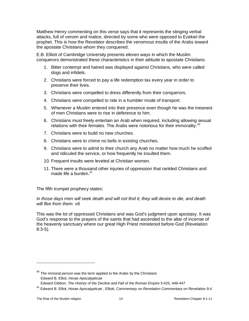Matthew Henry commenting on this verse says that it represents the stinging verbal attacks, full of venom and malice, directed by some who were opposed to Ezekiel the prophet. This is how the Revelator describes the venomous insults of the Arabs toward the apostate Christians whom they conquered.

E.B. Elliott of Cambridge University presents eleven ways in which the Muslim conquerors demonstrated these characteristics in their attitude to apostate Christians.

- 1. Bitter contempt and hatred was displayed against Christians, who were called dogs and infidels.
- 2. Christians were forced to pay a life redemption tax every year in order to preserve their lives.
- 3. Christians were compelled to dress differently from their conquerors.
- 4. Christians were compelled to ride in a humbler mode of transport.
- 5. Whenever a Muslim entered into their presence even though he was the meanest of men Christians were to rise in deference to him.
- 6. Christians must freely entertain an Arab when required, including allowing sexual relations with their females. The Arabs were notorious for their immorality.<sup>[40](#page-13-0)</sup>
- 7. Christians were to build no new churches.
- 8. Christians were to chime no bells in existing churches.
- 9. Christians were to admit to their church any Arab no matter how much he scoffed and ridiculed the service, or how frequently he insulted them.
- 10. Frequent insults were leveled at Christian women.
- 11. There were a thousand other injuries of oppression that rankled Christians and made life a burden. $41$

The fifth trumpet prophecy states:

*In those days men will seek death and will not find it; they will desire to die, and death will flee from them. v6*

This was the lot of oppressed Christians and was God's judgment upon apostasy. It was God's response to the prayers of the saints that had ascended to the altar of incense of the heavenly sanctuary where our great High Priest ministered before God (Revelation 8:3-5).

<span id="page-13-0"></span><sup>40</sup> *The immoral person* was the term applied to the Arabs by the Christians Edward B. Elliot, *Horae Apocalypticae* 

Edward Gibbon, *The History of the Decline and Fall of the Roman Empire* 5:425, 446-447

<span id="page-13-1"></span><sup>41</sup> Edward B. Elliot, *Horae Apocalypticae* , Elliott, *Commentary on Revelation* Commentary on Revelation 9:4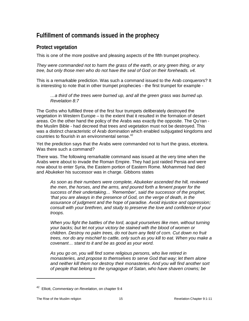# <span id="page-14-0"></span>**Fulfillment of commands issued in the prophecy**

#### <span id="page-14-1"></span>**Protect vegetation**

This is one of the more positive and pleasing aspects of the fifth trumpet prophecy.

*They were commanded not to harm the grass of the earth, or any green thing, or any tree, but only those men who do not have the seal of God on their foreheads. v4.*

This is a remarkable prediction. Was such a command issued to the Arab conquerors? It is interesting to note that in other trumpet prophecies - the first trumpet for example -

*…a third of the trees were burned up, and all the green grass was burned up. Revelation 8:7*

The Goths who fulfilled three of the first four trumpets deliberately destroyed the vegetation in Western Europe – to the extent that it resulted in the formation of desert areas. On the other hand the policy of the Arabs was exactly the opposite. The Qu'ran the Muslim Bible - had decreed that trees and vegetation must not be destroyed. This was a distinct characteristic of Arab domination which enabled subjugated kingdoms and countries to flourish in an environmental sense. [42](#page-14-2)

Yet the prediction says that the Arabs were commanded not to hurt the grass, etcetera. Was there such a command?

There was. The following remarkable command was issued at the very time when the Arabs were about to invade the Roman Empire. They had just raided Persia and were now about to enter Syria, the Eastern portion of Eastern Rome. Mohammed had died and Abukeker his successor was in charge. Gibbons states

*As soon as their numbers were complete, Abukeker ascended the hill, reviewed the men, the horses, and the arms, and poured forth a fervent prayer for the success of their undertaking… 'Remember', said the successor of the prophet, 'that you are always in the presence of God, on the verge of death, in the assurance of judgment and the hope of paradise. Avoid injustice and oppression; consult with your brethren, and study to preserve the love and confidence of your troops.*

*When you fight the battles of the lord, acquit yourselves like men, without turning your backs; but let not your victory be stained with the blood of women or children. Destroy no palm trees, do not burn any field of corn. Cut down no fruit trees, nor do any mischief to cattle, only such as you kill to eat. When you make a covenant… stand to it and be as good as your word.* 

*As you go on, you will find some religious persons, who live retired in monasteries, and propose to themselves to serve God that way; let them alone and neither kill them nor destroy their monasteries. And you will find another sort of people that belong to the synagogue of Satan, who have shaven crowns; be* 

<span id="page-14-2"></span><sup>42</sup> Elliott, *Commentary on Revelation*, on chapter 9:4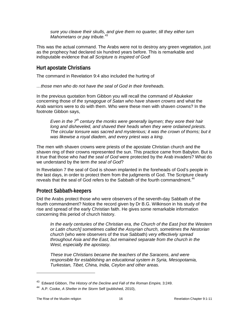*sure you cleave their skulls, and give them no quarter, till they either turn Mahometans or pay tribute.*[43](#page-15-2)

This was the actual command. The Arabs were not to destroy any green vegetation, just as the prophecy had declared six hundred years before. This is remarkable and indisputable evidence that *all Scripture is inspired of God*!

#### <span id="page-15-0"></span>**Hurt apostate Christians**

The command in Revelation 9:4 also included the hurting of

*…those men who do not have the seal of God in their foreheads.*

In the previous quotation from Gibbon you will recall the command of Abukeker concerning those of *the synagogue of Satan who have shaven crowns* and what the Arab warriors were to do with them. Who were these men with shaven crowns? In the footnote Gibbon says,

*Even in the 7th century the monks were generally laymen; they wore their hair long and disheveled, and shaved their heads when they were ordained priests. The circular tonsure was sacred and mysterious; it was the crown of thorns; but it was likewise a royal diadem, and every priest was a king.*

The men with shaven crowns were priests of the apostate Christian church and the shaven ring of their crowns represented the sun. This practice came from Babylon. But is it true that those who *had the seal of God* were protected by the Arab invaders? What do we understand by the term *the seal of God*?

In Revelation 7 the seal of God is shown implanted in the foreheads of God's people in the last days, in order to protect them from the judgments of God. The Scripture clearly reveals that the seal of God refers to the Sabbath of the fourth commandment.<sup>44</sup>

#### <span id="page-15-1"></span>**Protect Sabbath-keepers**

Did the Arabs protect those who were observers of the seventh-day Sabbath of the fourth commandment? Notice the record given by Dr B.G. Wilkinson in his study of the rise and spread of the early Christian faith. He gives some remarkable information concerning this period of church history.

*In the early centuries of the Christian era, the Church of the East [not the Western or Latin church] sometimes called the Assyrian church, sometimes the Nestorian church* (who were observers of the true Sabbath) *very effectively spread throughout Asia and the East, but remained separate from the church in the West, especially the apostasy.*

*These true Christians became the teachers of the Saracens, and were responsible for establishing an educational system in Syria, Mesopotamia, Turkestan, Tibet, China, India, Ceylon and other areas.*

<sup>43</sup> Edward Gibbon, *The History of the Decline and Fall of the Roman Empire,* 3:249.

<span id="page-15-3"></span><span id="page-15-2"></span><sup>44</sup> A.P. Cooke, *A Shelter in the Storm* Self (published, 2010),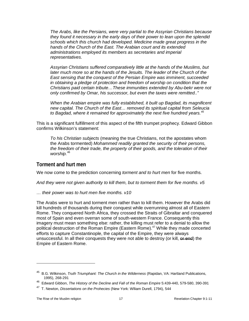*The Arabs, like the Persians, were very partial to the Assyrian Christians because they found it necessary in the early days of their power to lean upon the splendid schools which this church had developed. Medicine made great progress in the hands of the Church of the East. The Arabian court and its extended administrations employed its members as secretaries and imperial representatives.* 

*Assyrian Christians suffered comparatively little at the hands of the Muslims, but later much more so at the hands of the Jesuits. The leader of the Church of the East sensing that the conquest of the Persian Empire was imminent, succeeded in obtaining a pledge of protection and freedom of worship on condition that the Christians paid certain tribute…These immunities extended by Abu-bekr were not only confirmed by Omar, his successor, but even the taxes were remitted.."*

*When the Arabian empire was fully established, it built up Bagdad, its magnificent new capital. The Church of the East… removed its spiritual capital from Seleucia to Bagdad, where it remained for approximately the next five hundred years.[45](#page-16-1)* 

This is a significant fulfillment of this aspect of the fifth trumpet prophecy. Edward Gibbon confirms Wilkinson's statement:

*To his Christian subjects* (meaning the true Christians, not the apostates whom the Arabs tormented) *Mohammed readily granted the security of their persons, the freedom of their trade, the property of their goods, and the toleration of their worship.*[46](#page-16-2)

#### <span id="page-16-0"></span>**Torment and hurt men**

We now come to the prediction concerning *torment and to hurt men* for five months.

*And they were not given authority to kill them, but to torment them for five months. v5* 

*… their power was to hurt men five months. v10*

The Arabs were to hurt and torment men rather than to kill them. However the Arabs did kill hundreds of thousands during their conquest while overrunning almost all of Eastern Rome. They conquered North Africa, they crossed the Straits of Gibraltar and conquered most of Spain and even overran some of south-western France. Consequently this imagery must mean something else: rather, the killing must refer to a denial to allow the political destruction of the Roman Empire (Eastern Rome).<sup>[47](#page-16-3)</sup> While they made concerted efforts to capture Constantinople, the capital of the Empire, they were always unsuccessful. In all their conquests they were not able to destroy (or kill, or end) the Empire of Eastern Rome.

<span id="page-16-1"></span><sup>45</sup> B.G. Wilkinson, *Truth Triumphant: The Church in the Wilderness* (Rapidan, VA: Hartland Publications, 1995), 268-291

<span id="page-16-2"></span><sup>46</sup> Edward Gibbon, *The History of the Decline and Fall of the Roman Empire* 5:439-440, 579-580, 390-391

<span id="page-16-3"></span><sup>47</sup> T. Newton, *Dissertations on the Prohecies* (New York: Wlliam Durell, 1794), 544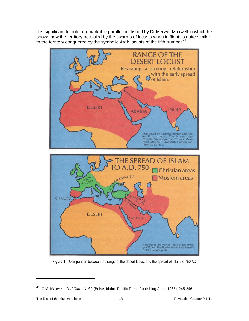It is significant to note a remarkable parallel published by Dr Mervyn Maxwell in which he shows how the territory occupied by the swarms of locusts when in flight, is quite similar to the territory conquered by the symbolic Arab locusts of the fifth trumpet.<sup>[48](#page-17-0)</sup>



**Figure 1** – Comparison between the range of the desert locust and the spread of Islam to 750 AD

<span id="page-17-0"></span><sup>48</sup> C.M. Maxwell, *God Cares Vol 2* (Boise, Idaho: Pacific Press Publishing Assn, 1985), 245-246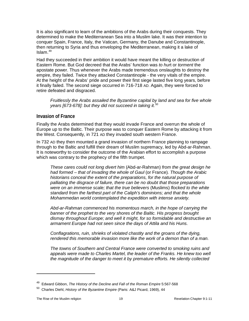It is also significant to learn of the ambitions of the Arabs during their conquests. They determined to make the Mediterranean Sea into a Muslim lake. It was their intention to conquer Spain, France, Italy, the Vatican, Germany, the Danube and Constantinople, then returning to Syria and thus enveloping the Mediterranean, making it a lake of Islam. [49](#page-18-1)

Had they succeeded in their ambition it would have meant the killing or destruction of Eastern Rome. But God decreed that the Arabs' function was *to hur*t or *torment* the apostate power. Thus whenever the Arabs made tremendous onslaughts to destroy the empire, they failed. Twice they attacked Constantinople - the very vitals of the empire. At the height of the Arabs' pride and power their first siege lasted five long years, before it finally failed. The second siege occurred in 716-718 AD. Again, they were forced to retire defeated and disgraced.

*Fruitlessly the Arabs assailed the Byzantine capital by land and sea for five whole years [673-678]: but they did not succeed in taking it.*[50](#page-18-2)

#### <span id="page-18-0"></span>**Invasion of France**

Finally the Arabs determined that they would invade France and overrun the whole of Europe up to the Baltic. Their purpose was to conquer Eastern Rome by attacking it from the West. Consequently, in 721 AD they invaded south western France.

In 732 AD they then mounted a grand invasion of northern France planning to rampage through to the Baltic and fulfill their dream of Muslim supremacy, led by Abd-ar-Rahman. It is noteworthy to consider the outcome of the Arabian effort to accomplish a purpose which was contrary to the prophecy of the fifth trumpet.

*These cares could not long divert him* (Abd-ar-Rahman) *from the great design he had formed – that of invading the whole of Gaul* (or France)*. Though the Arabic historians conceal the extent of the preparations, for the natural purpose of palliating the disgrace of failure, there can be no doubt that those preparations were on an immense scale; that the true believers* (Muslims) *flocked to the white standard from the farthest part of the Caliph's dominions; and that the whole Mohammedan world contemplated the expedition with intense anxiety.*

*Abd-ar-Rahman commenced his momentous march, in the hope of carrying the banner of the prophet to the very shores of the Baltic. His progress brought dismay throughout Europe; and well it might, for so formidable and destructive an armament Europe had not seen since the days of Attila and his Huns.*

*Conflagrations, ruin, shrieks of violated chastity and the groans of the dying, rendered this memorable invasion more like the work of a demon than of a man.*

*The towns of Southern and Central France were converted to smoking ruins and*  appeals were made to Charles Martel, the leader of the Franks. He knew too well *the magnitude of the danger to meet it by premature efforts. He silently collected* 

<span id="page-18-1"></span><sup>&</sup>lt;sup>49</sup> Edward Gibbon, *The History of the Decline and Fall of the Roman Empire* 5:567-568

<span id="page-18-2"></span><sup>50</sup> Charles Diehl, *History of the Byzantine Empire* (Paris: A&J Picard, 1969), 44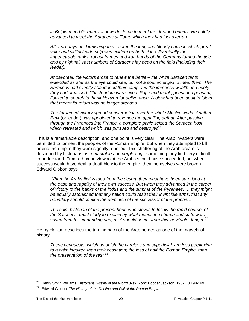*in Belgium and Germany a powerful force to meet the dreaded enemy. He boldly advanced to meet the Saracens at Tours which they had just overrun.*

*After six days of skirmishing there came the long and bloody battle in which great valor and skilful leadership was evident on both sides. Eventually the impenetrable ranks, robust frames and iron hands of the Germans turned the tide and by nightfall vast numbers of Saracens lay dead on the field (including their leader).*

*At daybreak the victors arose to renew the battle – the white Saracen tents extended as afar as the eye could see, but not a soul emerged to meet them. The Saracens had silently abandoned their camp and the immense wealth and booty they had amassed. Christendom was saved. Pope and monk, priest and peasant, flocked to church to thank Heaven for deliverance. A blow had been dealt to Islam that meant its return was no longer dreaded.*

*The far-famed victory spread consternation over the whole Muslim world. Another Emir* (or leader) *was appointed to revenge the appalling defeat. After passing through the Pyrenees into France, a complete panic seized the Saracen host which retreated and which was pursued and destroyed.*[51](#page-19-0)

This is a remarkable description, and one point is very clear. The Arab invaders were permitted to torment the peoples of the Roman Empire, but when they attempted to kill or end the empire they were signally repelled. This shattering of the Arab dream is described by historians as *remarkable* and *perplexing* - something they find very difficult to understand. From a human viewpoint the Arabs should have succeeded, but when success would have dealt a deathblow to the empire, they themselves were broken. Edward Gibbon says

*When the Arabs first issued from the desert, they must have been surprised at the ease and rapidity of their own success. But when they advanced in the career of victory to the banks of the Indus and the summit of the Pyrenees; … they might be equally astonished that any nation could resist their invincible arms; that any boundary should confine the dominion of the successor of the prophet…*

*The calm historian of the present hour, who strives to follow the rapid course of the Saracens, must study to explain by what means the church and state were saved from this impending and, as it should seem, from this inevitable danger.*[52](#page-19-1)

Henry Hallam describes the turning back of the Arab hordes as one of the marvels of history.

*These conquests, which astonish the careless and superficial, are less perplexing to a calm inquirer, than their cessation; the loss of half the Roman Empire, than the preservation of the rest.*[53](#page-19-2)

<span id="page-19-2"></span><span id="page-19-0"></span><sup>51</sup> Henry Smith Williams, *Historians History of the World* (New York: Hooper Jackson, 1907), 8:198-199

<span id="page-19-1"></span><sup>52</sup> Edward Gibbon, *The History of the Decline and Fall of the Roman Empire*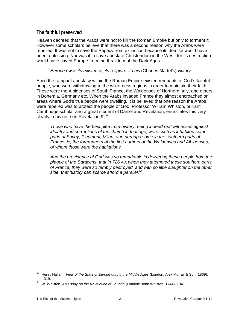#### <span id="page-20-0"></span>**The faithful preserved**

Heaven decreed that the Arabs were not to kill the Roman Empire but only to torment it. However some scholars believe that there was a second reason why the Arabs were repelled. It was not to save the Papacy from extinction because its demise would have been a blessing. Nor was it to save apostate Christendom in the West, for its destruction would have saved Europe from the thralldom of the Dark Ages.

#### *Europe owes its existence, its religion…to his* (Charles Martel's) *victory.*

Amid the rampant apostasy within the Roman Empire existed remnants of God's faithful people, who were withdrawing to the wilderness regions in order to maintain their faith. These were the Albigenses of South France, the Waldenses of Northern Italy, and others in Bohemia, Germany etc. When the Arabs invaded France they almost encroached on areas where God's true people were dwelling. It is believed that one reason the Arabs were repelled was to protect the people of God. Professor William Whiston, brilliant Cambridge scholar and a great student of Daniel and Revelation, enunciates this very clearly in his note on Revelation 9.<sup>[54](#page-20-1)</sup>

*Those who have the best plea from history, being indeed real witnesses against idolatry and corruptions of the church in that age, were such as inhabited some parts of Savoy, Piedmont, Milan, and perhaps some in the southern parts of France; ie, the forerunners of the first authors of the Waldenses and Albigenses, of whom those were the habitations.* 

*And the providence of God was so remarkable in delivering these people from the plague of the Saracens, that in 726 AD, when they attempted these southern parts of France, they were so terribly destroyed, and with so little slaughter on the other side, that history can scarce afford a parallel.*[54](#page-20-2)

<sup>53</sup> Henry Hallam, *View of the State of Europe during the Middle Ages* (London: Alex Murray & Son, 1869), 319.

<span id="page-20-2"></span><span id="page-20-1"></span><sup>54</sup> W. Whiston, *An Essay on the Revelation of St John* (London: John Whiston, 1744), 194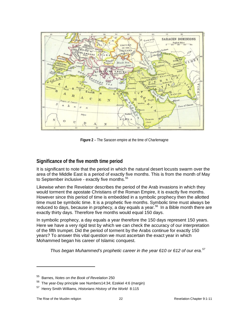

**Figure 2** – The Saracen empire at the time of Charlemagne

#### <span id="page-21-0"></span>**Significance of the five month time period**

It is significant to note that the period in which the natural desert locusts swarm over the area of the Middle East is a period of exactly five months. This is from the month of May to September inclusive - exactly five months. $55$ 

Likewise when the Revelator describes the period of the Arab invasions in which they would torment the apostate Christians of the Roman Empire, it is exactly five months. However since this period of time is embedded in a symbolic prophecy then the allotted time must be symbolic time. It is a prophetic five months. Symbolic time must always be reduced to days, because in prophecy, a day equals a year.<sup>56</sup> In a Bible month there are exactly thirty days. Therefore five months would equal 150 days.

In symbolic prophecy, a day equals a year therefore the 150 days represent 150 years. Here we have a very rigid test by which we can check the accuracy of our interpretation of the fifth trumpet. Did the period of torment by the Arabs continue for exactly 150 years? To answer this vital question we must ascertain the exact year in which Mohammed began his career of Islamic conquest.

*Thus began Muhammed's prophetic career in the year 610 or 612 of our era.[57](#page-21-3)* 

<span id="page-21-1"></span><sup>55</sup> Barnes, *Notes on the Book of Revelation* 250

<span id="page-21-2"></span><sup>56</sup> The year-Day principle see Numbers14:34; Ezekiel 4:6 (margin)

<span id="page-21-3"></span><sup>57</sup> Henry Smith Williams, *Historians History of the World* 8:115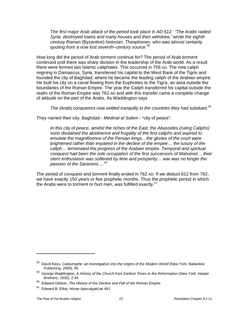*The first major Arab attack of the period took place in AD 612. 'The Arabs raided Syria, destroyed towns and many houses and then withdrew,' wrote the eighth century Roman* (Byzantine) *historian, Theophones, who was almost certainly quoting from a now lost seventh–century source.*[58](#page-22-1)

How long did the period of Arab torment continue for? The period of Arab torment continued until there was sharp division in the leadership of the Arab world. As a result there were formed two Islamic caliphates. This occurred in 756 AD. The new caliph reigning in Damascus, Syria, transferred his capital to the West Bank of the Tigris and founded the city of Baghdad, where he became the leading caliph of the Arabian empire. He built his city on a canal flowing from the Euphrates to the Tigris, an area outside the boundaries of the Roman Empire. The year the Caliph transferred his capital outside the realm of the Roman Empire was 762 AD and with this transfer came a complete change of attitude on the part of the Arabs. As Waddington says

*The* (Arab) *conquerors now settled tranquilly in the countries they had subdued.* [59](#page-22-2)

They named their city, Baghdad - *Medinat al Salem* - "city of peace".

*In this city of peace, amidst the riches of the East, the Abassides (ruling Caliphs) soon disdained the abstinence and frugality of the first caliphs and aspired to emulate the magnificence of the Persian kings…the glories of the court were brightened rather than impaired in the decline of the empire… the luxury of the caliph… terminated the progress of the Arabian empire. Temporal and spiritual conquest had been the sole occupation of the first successors of Mahomet… their stern enthusiasm was softened by time and prosperity… war was no longer the passion of the Saracens …[60](#page-22-3)*

<span id="page-22-0"></span>The period of conquest and torment finally ended in 762 AD. If we deduct 612 from 762, we have exactly 150 years or five prophetic months. Thus the prophetic period in which the Arabs were to torment or hurt men, was fulfilled exactly.<sup>[61](#page-22-4)</sup>

<span id="page-22-1"></span><sup>58</sup> David Keys, *Catastrophe: an investigation into the origins of the Modern World* (New York: Ballantine Publishing, 2000), 95

<span id="page-22-2"></span><sup>&</sup>lt;sup>59</sup> George Waddington, A History of the Church from Earliest Times to the Reformation (New York: Harper Brothers, 1835), 2:44

<span id="page-22-3"></span><sup>60</sup> Edward Gibbon, *The History of the Decline and Fall of the Roman Empire* 

<span id="page-22-4"></span><sup>61</sup> Edward B. Elliot, *Horae Apocalypticae* 461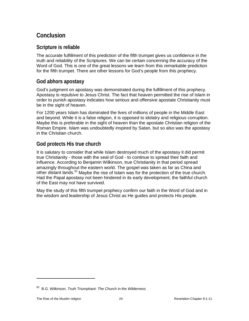# **Conclusion**

#### <span id="page-23-0"></span>**Scripture is reliable**

The accurate fulfillment of this prediction of the fifth trumpet gives us confidence in the truth and reliability of the Scriptures. We can be certain concerning the accuracy of the Word of God. This is one of the great lessons we learn from this remarkable prediction for the fifth trumpet. There are other lessons for God's people from this prophecy.

#### <span id="page-23-1"></span>**God abhors apostasy**

God's judgment on apostasy was demonstrated during the fulfillment of this prophecy. Apostasy is repulsive to Jesus Christ. The fact that heaven permitted the rise of Islam in order to punish apostasy indicates how serious and offensive apostate Christianity must be in the sight of heaven.

For 1200 years Islam has dominated the lives of millions of people in the Middle East and beyond. While it is a false religion, it is opposed to idolatry and religious corruption. Maybe this is preferable in the sight of heaven than the apostate Christian religion of the Roman Empire. Islam was undoubtedly inspired by Satan, but so also was the apostasy in the Christian church.

#### <span id="page-23-2"></span>**God protects His true church**

It is salutary to consider that while Islam destroyed much of the apostasy it did permit true Christianity - those with the seal of God - to continue to spread their faith and influence. According to Benjamin Wilkinson, true Christianity in that period spread amazingly throughout the eastern world. The gospel was taken as far as China and other distant lands.<sup>[62](#page-23-4)</sup> Maybe the rise of Islam was for the protection of the true church. Had the Papal apostasy not been hindered in its early development, the faithful church of the East may not have survived.

<span id="page-23-3"></span>May the study of this fifth trumpet prophecy confirm our faith in the Word of God and in the wisdom and leadership of Jesus Christ as He guides and protects His people.

<span id="page-23-4"></span><sup>62</sup> B.G. Wilkinson, *Truth Triumphant: The Church in the Wilderness*